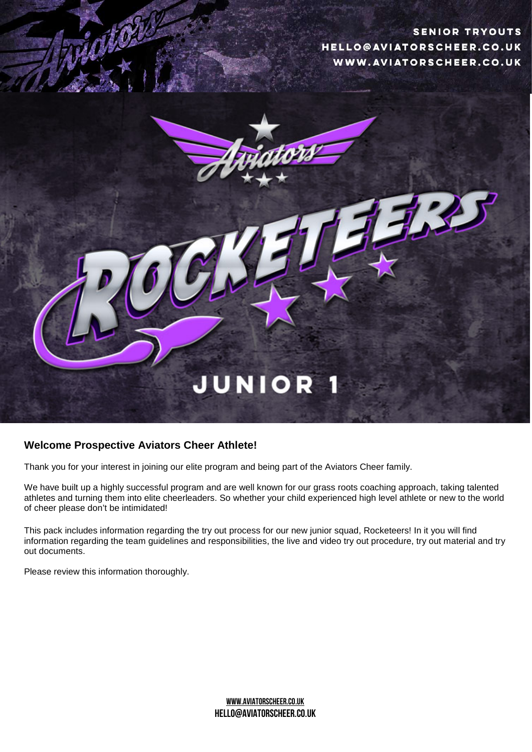**SENIOR TRYOUTS** HELLO@AVIATORSCHEER.CO.UK WWW.AVIATORSCHEER.CO.UK



## **Welcome Prospective Aviators Cheer Athlete!**

Thank you for your interest in joining our elite program and being part of the Aviators Cheer family.

We have built up a highly successful program and are well known for our grass roots coaching approach, taking talented athletes and turning them into elite cheerleaders. So whether your child experienced high level athlete or new to the world of cheer please don't be intimidated!

This pack includes information regarding the try out process for our new junior squad, Rocketeers! In it you will find information regarding the team guidelines and responsibilities, the live and video try out procedure, try out material and try out documents.

Please review this information thoroughly.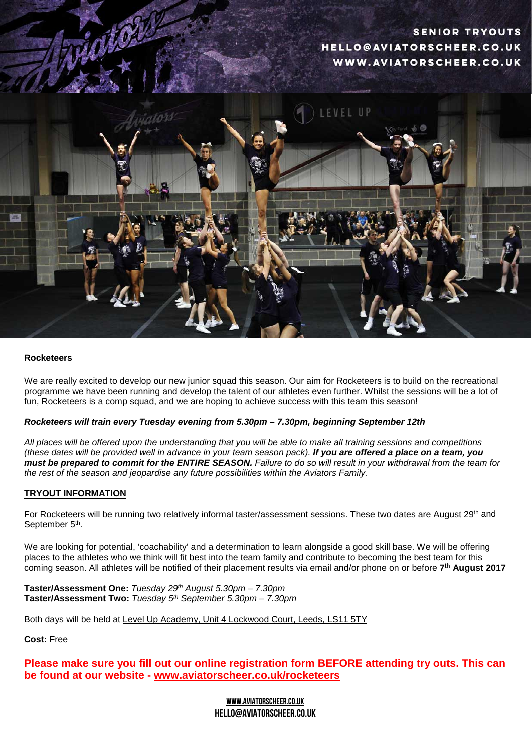# **SENIOR TRYOUTS** HELLO@AVIATORSCHEER.CO.UK WWW.AVIATORSCHEER.CO.UK



#### **Rocketeers**

We are really excited to develop our new junior squad this season. Our aim for Rocketeers is to build on the recreational programme we have been running and develop the talent of our athletes even further. Whilst the sessions will be a lot of fun, Rocketeers is a comp squad, and we are hoping to achieve success with this team this season!

#### *Rocketeers will train every Tuesday evening from 5.30pm – 7.30pm, beginning September 12th*

*All places will be offered upon the understanding that you will be able to make all training sessions and competitions (these dates will be provided well in advance in your team season pack). If you are offered a place on a team, you must be prepared to commit for the ENTIRE SEASON. Failure to do so will result in your withdrawal from the team for the rest of the season and jeopardise any future possibilities within the Aviators Family.*

#### **TRYOUT INFORMATION**

For Rocketeers will be running two relatively informal taster/assessment sessions. These two dates are August 29<sup>th</sup> and September 5<sup>th</sup>.

We are looking for potential, 'coachability' and a determination to learn alongside a good skill base. We will be offering places to the athletes who we think will fit best into the team family and contribute to becoming the best team for this coming season. All athletes will be notified of their placement results via email and/or phone on or before **7th August 2017**

**Taster/Assessment One:** *Tuesday 29th August 5.30pm – 7.30pm* **Taster/Assessment Two:** *Tuesday 5th September 5.30pm – 7.30pm*

Both days will be held at Level Up Academy, Unit 4 Lockwood Court, Leeds, LS11 5TY

**Cost:** Free

**Please make sure you fill out our online registration form BEFORE attending try outs. This can be found at our website - www.aviatorscheer.co.uk/rocketeers**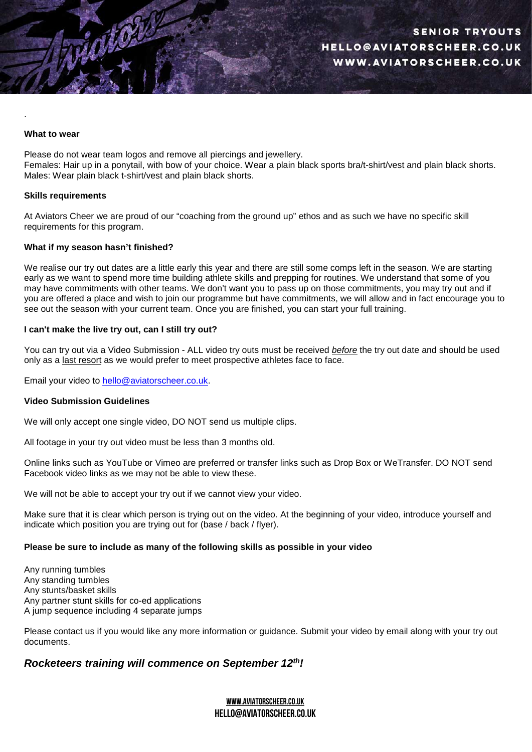#### **What to wear**

.

Please do not wear team logos and remove all piercings and jewellery. Females: Hair up in a ponytail, with bow of your choice. Wear a plain black sports bra/t-shirt/vest and plain black shorts. Males: Wear plain black t-shirt/vest and plain black shorts.

#### **Skills requirements**

At Aviators Cheer we are proud of our "coaching from the ground up" ethos and as such we have no specific skill requirements for this program.

#### **What if my season hasn't finished?**

We realise our try out dates are a little early this year and there are still some comps left in the season. We are starting early as we want to spend more time building athlete skills and prepping for routines. We understand that some of you may have commitments with other teams. We don't want you to pass up on those commitments, you may try out and if you are offered a place and wish to join our programme but have commitments, we will allow and in fact encourage you to see out the season with your current team. Once you are finished, you can start your full training.

#### **I can't make the live try out, can I still try out?**

You can try out via a Video Submission - ALL video try outs must be received *before* the try out date and should be used only as a last resort as we would prefer to meet prospective athletes face to face.

Email your video to [hello@aviatorscheer.co.uk.](mailto:hello@aviatorscheer.co.uk)

#### **Video Submission Guidelines**

We will only accept one single video, DO NOT send us multiple clips.

All footage in your try out video must be less than 3 months old.

Online links such as YouTube or Vimeo are preferred or transfer links such as Drop Box or WeTransfer. DO NOT send Facebook video links as we may not be able to view these.

We will not be able to accept your try out if we cannot view your video.

Make sure that it is clear which person is trying out on the video. At the beginning of your video, introduce yourself and indicate which position you are trying out for (base / back / flyer).

#### **Please be sure to include as many of the following skills as possible in your video**

Any running tumbles Any standing tumbles Any stunts/basket skills Any partner stunt skills for co-ed applications A jump sequence including 4 separate jumps

Please contact us if you would like any more information or guidance. Submit your video by email along with your try out documents.

## *Rocketeers training will commence on September 12th!*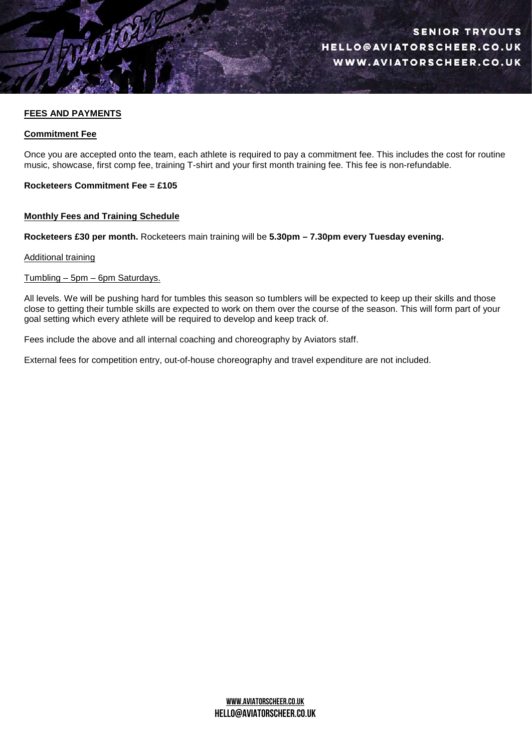## **FEES AND PAYMENTS**

## **Commitment Fee**

Once you are accepted onto the team, each athlete is required to pay a commitment fee. This includes the cost for routine music, showcase, first comp fee, training T-shirt and your first month training fee. This fee is non-refundable.

**Rocketeers Commitment Fee = £105**

## **Monthly Fees and Training Schedule**

**Rocketeers £30 per month.** Rocketeers main training will be **5.30pm – 7.30pm every Tuesday evening.**

## Additional training

## Tumbling – 5pm – 6pm Saturdays.

All levels. We will be pushing hard for tumbles this season so tumblers will be expected to keep up their skills and those close to getting their tumble skills are expected to work on them over the course of the season. This will form part of your goal setting which every athlete will be required to develop and keep track of.

Fees include the above and all internal coaching and choreography by Aviators staff.

External fees for competition entry, out-of-house choreography and travel expenditure are not included.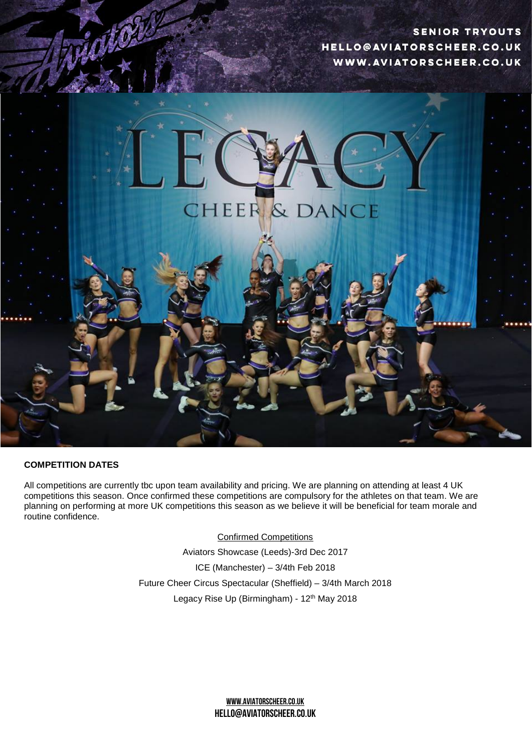**SENIOR TRYOUTS** HELLO@AVIATORSCHEER.CO.UK WWW.AVIATORSCHEER.CO.UK



## **COMPETITION DATES**

All competitions are currently tbc upon team availability and pricing. We are planning on attending at least 4 UK competitions this season. Once confirmed these competitions are compulsory for the athletes on that team. We are planning on performing at more UK competitions this season as we believe it will be beneficial for team morale and routine confidence.

Confirmed Competitions

Aviators Showcase (Leeds)-3rd Dec 2017 ICE (Manchester) – 3/4th Feb 2018 Future Cheer Circus Spectacular (Sheffield) – 3/4th March 2018 Legacy Rise Up (Birmingham) - 12<sup>th</sup> May 2018